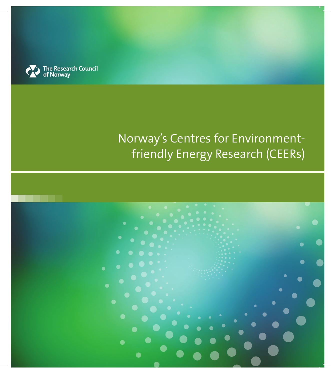

## Norway's Centres for Environmentfriendly Energy Research (CEERs)

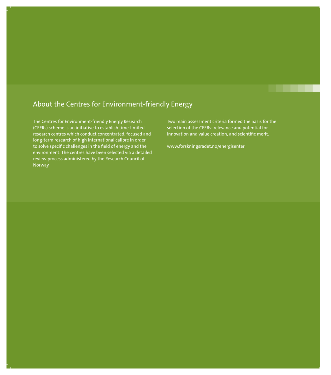### About the Centres for Environment-friendly Energy

The Centres for Environment-friendly Energy Research (CEERs) scheme is an initiative to establish time-limited research centres which conduct concentrated, focused and long-term research of high international calibre in order to solve specific challenges in the field of energy and the environment. The centres have been selected via a detailed review process administered by the Research Council of Norway.

Two main assessment criteria formed the basis for the selection of the CEERs: relevance and potential for innovation and value creation, and scientific merit.

www.forskningsradet.no/energisenter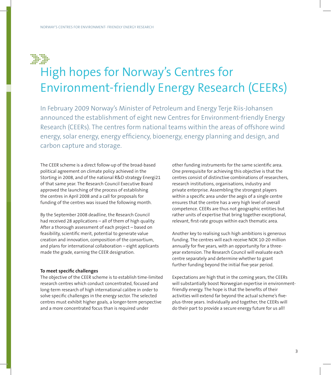### 

# High hopes for Norway's Centres for Environment-friendly Energy Research (CEERs)

In February 2009 Norway's Minister of Petroleum and Energy Terje Riis-Johansen announced the establishment of eight new Centres for Environment-friendly Energy Research (CEERs). The centres form national teams within the areas of offshore wind energy, solar energy, energy efficiency, bioenergy, energy planning and design, and carbon capture and storage.

The CEER scheme is a direct follow-up of the broad-based political agreement on climate policy achieved in the Storting in 2008, and of the national R&D strategy Energi21 of that same year. The Research Council Executive Board approved the launching of the process of establishing the centres in April 2008 and a call for proposals for funding of the centres was issued the following month.

By the September 2008 deadline, the Research Council had received 28 applications – all of them of high quality. After a thorough assessment of each project – based on feasibility, scientific merit, potential to generate value creation and innovation, composition of the consortium, and plans for international collaboration – eight applicants made the grade, earning the CEER designation.

#### **To meet specific challenges**

The objective of the CEER scheme is to establish time-limited research centres which conduct concentrated, focused and long-term research of high international calibre in order to solve specific challenges in the energy sector. The selected centres must exhibit higher goals, a longer-term perspective and a more concentrated focus than is required under

other funding instruments for the same scientific area. One prerequisite for achieving this objective is that the centres consist of distinctive combinations of researchers, research institutions, organisations, industry and private enterprise. Assembling the strongest players within a specific area under the aegis of a single centre ensures that the centre has a very high level of overall competence. CEERs are thus not geographic entities but rather units of expertise that bring together exceptional, relevant, first-rate groups within each thematic area.

Another key to realising such high ambitions is generous funding. The centres will each receive NOK 10-20 million annually for five years, with an opportunity for a threeyear extension. The Research Council will evaluate each centre separately and determine whether to grant further funding beyond the initial five-year period.

Expectations are high that in the coming years, the CEERs will substantially boost Norwegian expertise in environmentfriendly energy. The hope is that the benefits of their activities will extend far beyond the actual scheme's fiveplus-three years. Individually and together, the CEERs will do their part to provide a secure energy future for us all!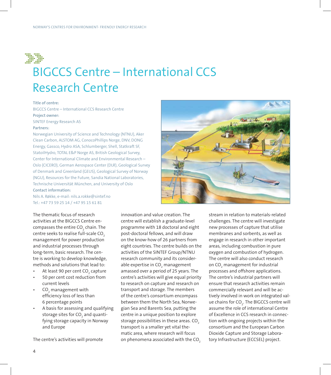

## BIGCCS Centre – International CCS Research Centre

#### **Title of centre:**

BIGCCS Centre – International CCS Research Centre **Project owner:**

SINTEF Energy Research AS

#### **Partners:**

Norwegian University of Science and Technology (NTNU), Aker Clean Carbon, ALSTOM AG, ConocoPhillips Norge, DNV, DONG Energy, Gassco, Hydro ASA, Schlumberger, Shell, Statkraft SF, StatoilHydro, TOTAL E&P Norge AS, British Geological Survey, Center for International Climate and Environmental Research – Oslo (CICERO), German Aerospace Center (DLR), Geological Survey of Denmark and Greenland (GEUS), Geological Survey of Norway (NGU), Resources for the Future, Sandia National Laboratories, Technische Universität München, and University of Oslo **Contact information:**

Nils A. Røkke, e-mail: nils.a.rokke@sintef.no Tel.: +47 73 59 25 14 / +47 95 15 61 81

The thematic focus of research activities at the BIGCCS Centre encompasses the entire CO $_{\textrm{\tiny{2}}}$  chain. The centre seeks to realise full-scale CO<sub>2</sub> management for power production and industrial processes through long-term, basic research. The centre is working to develop knowledge, methods and solutions that lead to:

- At least 90 per cent CO<sub>2</sub> capture •
- 50 per cent cost reduction from current levels •
- CO $_{\tiny 2}$  management with efficiency loss of less than 6 percentage points •
- A basis for assessing and qualifying storage sites for CO $_{\rm _2}$  and quantifying storage capacity in Norway and Europe •

The centre's activities will promote

innovation and value creation. The centre will establish a graduate-level programme with 18 doctoral and eight post-doctoral fellows, and will draw on the know-how of 26 partners from eight countries. The centre builds on the activities of the SINTEF Group/NTNU research community and its considerable expertise in CO $_{\textrm{\tiny{2}}}$  management amassed over a period of 25 years. The centre's activities will give equal priority to research on capture and research on transport and storage. The members of the centre's consortium encompass between them the North Sea, Norwegian Sea and Barents Sea, putting the centre in a unique position to explore storage possibilities in these areas. CO<sub>2</sub> transport is a smaller yet vital thematic area, where research will focus on phenomena associated with the CO<sub>2</sub>



stream in relation to materials-related challenges. The centre will investigate new processes of capture that utilise membranes and sorbents, as well as engage in research in other important areas, including combustion in pure oxygen and combustion of hydrogen. The centre will also conduct research on CO<sub>2</sub> management for industrial processes and offshore applications. The centre's industrial partners will ensure that research activities remain commercially relevant and will be actively involved in work on integrated value chains for CO $_2$ . The BIGCCS centre will assume the role of international Centre of Excellence in CCS research in connection with ongoing projects within the consortium and the European Carbon Dioxide Capture and Storage Laboratory Infrastructure (ECCSEL) project.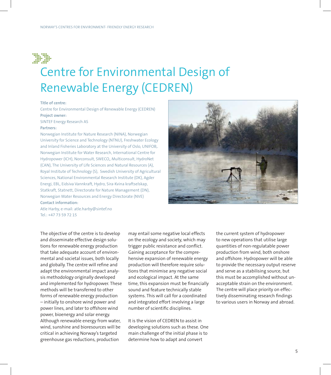

## Centre for Environmental Design of Renewable Energy (CEDREN)

#### **Title of centre:**

Centre for Environmental Design of Renewable Energy (CEDREN) **Project owner:**

SINTEF Energy Research AS

#### **Partners:**

Norwegian Institute for Nature Research (NINA), Norwegian University for Science and Technology (NTNU), Freshwater Ecology and Inland Fisheries Laboratory at the University of Oslo, UNIFOB,. Norwegian Institute for Water Research, International Centre for Hydropower (ICH), Norconsult, SWECO,, Multiconsult, HydroNet (CAN), The University of Life Sciences and Natural Resources (A), Royal Institute of Technology (S), Swedish University of Agricultural Sciences, National Environmental Research Institute (DK), Agder Energi, EBL, Eidsiva Vannkraft, Hydro, Sira-Kvina kraftselskap, Statkraft, Statnett, Directorate for Nature Management (DN), Norwegian Water Resources and Energy Directorate (NVE) **Contact information:**

Atle Harby, e-mail: atle.harby@sintef.no  $Tel \cdot +47 73 59 72 15$ 

The objective of the centre is to develop and disseminate effective design solutions for renewable energy production that take adequate account of environmental and societal issues, both locally and globally. The centre will refine and adapt the environmental impact analysis methodology originally developed and implemented for hydropower. These methods will be transferred to other forms of renewable energy production – initially to onshore wind power and power lines, and later to offshore wind power, bioenergy and solar energy. Although renewable energy from water, wind, sunshine and bioresources will be critical in achieving Norway's targeted greenhouse gas reductions, production

may entail some negative local effects on the ecology and society, which may trigger public resistance and conflict. Gaining acceptance for the comprehensive expansion of renewable energy production will therefore require solutions that minimise any negative social and ecological impact. At the same time, this expansion must be financially sound and feature technically stable systems. This will call for a coordinated and integrated effort involving a large number of scientific disciplines.

It is the vision of CEDREN to assist in developing solutions such as these. One main challenge of the initial phase is to determine how to adapt and convert

the current system of hydropower to new operations that utilise large quantities of non-regulatable power production from wind, both onshore and offshore. Hydropower will be able to provide the necessary output reserve and serve as a stabilising source, but this must be accomplished without unacceptable strain on the environment. The centre will place priority on effectively disseminating research findings to various users in Norway and abroad.

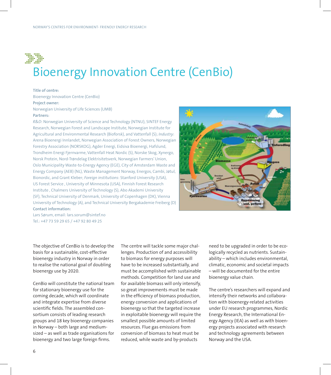

# Bioenergy Innovation Centre (CenBio)

#### **Title of centre:**

Bioenergy Innovation Centre (CenBio) **Project owner:** Norwegian University of Life Sciences (UMB)

#### **Partners:**

*R&D*: Norwegian University of Science and Technology (NTNU), SINTEF Energy Research, Norwegian Forest and Landscape Institute, Norwegian Institute for Agricultural and Environmental Research (Bioforsk), and Vattenfall (S); *Industry*: Arena Bioenergi Innlandet, Norwegian Association of Forest Owners, Norwegian Forestry Association (NORSKOG), Agder Energi, Eidsiva Bioenergi, Hafslund, Trondheim Energi Fjernvarme, Vattenfall Heat Nordic (S), Norske Skog, Xynergo, Norsk Protein, Nord-Trøndelag Elektrisitetsverk, Norwegian Farmers' Union, Oslo Municipality Waste-to-Energy Agency (EGE), City of Amsterdam Waste and Energy Company (AEB) (NL), Waste Management Norway, Energos, Cambi, Jøtul, Bionordic, and Grant Kleber; *Foreign institutions*: Stanford University (USA), US Forest Service , University of Minnesota (USA), Finnish Forest Research Institute , Chalmers University of Technology (S), Abo Akademi University (SF), Technical University of Denmark, University of Copenhagen (DK), Vienna University of Technology (A), and Technical University Bergakademie Freiberg (D) **Contact information:**



Lars Sørum, email: lars.sorum@sintef.no Tel.: +47 73 59 29 65 / +47 92 80 49 25

The objective of CenBio is to develop the basis for a sustainable, cost-effective bioenergy industry in Norway in order to realise the national goal of doubling bioenergy use by 2020.

CenBio will constitute the national team for stationary bioenergy use for the coming decade, which will coordinate and integrate expertise from diverse scientific fields. The assembled consortium consists of leading research groups and 18 key bioenergy companies in Norway – both large and mediumsized – as well as trade organisations for bioenergy and two large foreign firms.

The centre will tackle some major challenges. Production of and accessibility to biomass for energy purposes will have to be increased substantially, and must be accomplished with sustainable methods. Competition for land use and for available biomass will only intensify, so great improvements must be made in the efficiency of biomass production, energy conversion and applications of bioenergy so that the targeted increase in exploitable bioenergy will require the smallest possible amounts of limited resources. Flue gas emissions from conversion of biomass to heat must be reduced, while waste and by-products

need to be upgraded in order to be ecologically recycled as nutrients. Sustainability – which includes environmental, climatic, economic and societal impacts – will be documented for the entire bioenergy value chain.

The centre's researchers will expand and intensify their networks and collaboration with bioenergy-related activities under EU research programmes, Nordic Energy Research, the International Energy Agency (IEA) as well as with bioenergy projects associated with research and technology agreements between Norway and the USA.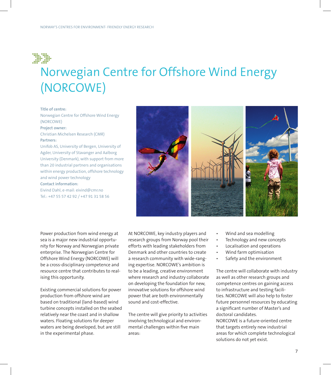

## Norwegian Centre for Offshore Wind Energy (NORCOWE)

#### **Title of centre:**

Norwegian Centre for Offshore Wind Energy (NORCOWE)

**Project owner:** Christian Michelsen Research (CMR) **Partners:**

Unifob AS, University of Bergen, University of Agder, University of Stavanger and Aalborg University (Denmark), with support from more than 20 industrial partners and organisations within energy production, offshore technology and wind power technology

**Contact information:** Eivind Dahl, e-mail: eivind@cmr.no Tel.: +47 55 57 42 92 / +47 91 31 58 56



Power production from wind energy at sea is a major new industrial opportunity for Norway and Norwegian private enterprise. The Norwegian Centre for Offshore Wind Energy (NORCOWE) will be a cross-disciplinary competence and resource centre that contributes to realising this opportunity.

Existing commercial solutions for power production from offshore wind are based on traditional (land-based) wind turbine concepts installed on the seabed relatively near the coast and in shallow waters. Floating solutions for deeper waters are being developed, but are still in the experimental phase.

At NORCOWE, key industry players and research groups from Norway pool their efforts with leading stakeholders from Denmark and other countries to create a research community with wide-ranging expertise. NORCOWE's ambition is to be a leading, creative environment where research and industry collaborate on developing the foundation for new, innovative solutions for offshore wind power that are both environmentally sound and cost-effective.

The centre will give priority to activities involving technological and environmental challenges within five main areas:

- Wind and sea modelling •
- Technology and new concepts •
- Localisation and operations •
- Wind farm optimisation •
- Safety and the environment •

The centre will collaborate with industry as well as other research groups and competence centres on gaining access to infrastructure and testing facilities. NORCOWE will also help to foster future personnel resources by educating a significant number of Master's and doctoral candidates.

NORCOWE is a future-oriented centre that targets entirely new industrial areas for which complete technological solutions do not yet exist.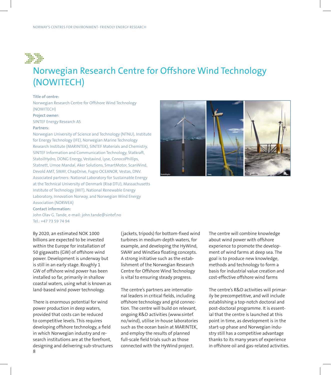

### Norwegian Research Centre for Offshore Wind Technology (NOWITECH)

#### **Title of centre:**

Norwegian Research Centre for Offshore Wind Technology (NOWITECH)

#### **Project owner:**

SINTEF Energy Research AS

#### **Partners:**

Norwegian University of Science and Technology (NTNU), Institute for Energy Technology (IFE), Norwegian Marine Technology Research Institute (MARINTEK), SINTEF Materials and Chemistry, SINTEF Information and Communication Technology, Statkraft, StatoilHydro, DONG Energy, Vestavind, Lyse, ConocoPhillips, Statnett, Umoe Mandal, Aker Solutions, SmartMotor, ScanWind, Devold AMT, SWAY, ChapDrive, Fugro OCEANOR, Vestas, DNV. Associated partners: National Laboratory for Sustainable Energy at the Technical University of Denmark (Risø DTU), Massachusetts Institute of Technology (MIT), National Renewable Energy Laboratory, Innovation Norway, and Norwegian Wind Energy Association (NORWEA)

#### **Contact information:**

John Olav G. Tande, e-mail: john.tande@sintef.no Tel.: +47 73 59 74 94

By 2020, an estimated NOK 1000 billions are expected to be invested within the Europe for installation of 50 gigawatts (GW) of offshore wind power. Development is underway but is still in an early stage. Roughly 1 GW of offshore wind power has been installed so far, primarily in shallow coastal waters, using what is known as land-based wind power technology.

There is enormous potential for wind power production in deep waters, provided that costs can be reduced to competitive levels. This requires developing offshore technology, a field in which Norwegian industry and research institutions are at the forefront, designing and delivering sub-structures (jackets, tripods) for bottom-fixed wind turbines in medium-depth waters, for example, and developing the HyWind, SWAY and WindSea floating concepts. A strong initiative such as the establishment of the Norwegian Research Centre for Offshore Wind Technology is vital to ensuring steady progress.

The centre's partners are international leaders in critical fields, including offshore technology and grid connection. The centre will build on relevant, ongoing R&D activities (www.sintef. no/wind), utilise in-house laboratories such as the ocean basin at MARINTEK, and employ the results of planned full-scale field trials such as those connected with the HyWind project.

The centre will combine knowledge about wind power with offshore experience to promote the development of wind farms at deep sea. The goal is to produce new knowledge, methods and technology to form a basis for industrial value creation and cost-effective offshore wind farms

The centre's R&D activities will primarily be precompetitive, and will include establishing a top-notch doctoral and post-doctoral programme. It is essential that the centre is launched at this point in time, as development is in the start-up phase and Norwegian industry still has a competitive advantage thanks to its many years of experience in offshore oil and gas-related activities.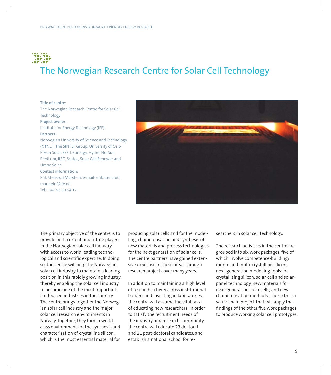### $\begin{array}{cccc} 1111 & 1111 & 1111 & 1111 & 1111 & 1111 & 1111 & 1111 & 1111 & 1111 & 1111 & 1111 & 1111 & 1111 & 1111 & 1111 & 1111 & 1111 & 1111 & 1111 & 1111 & 1111 & 1111 & 1111 & 1111 & 1111 & 1111 & 1111 & 1111 & 1111 & 1111 & 1111 & 1111 & 1111 & 1111 & 11$ The Norwegian Research Centre for Solar Cell Technology

**Title of centre:** The Norwegian Research Centre for Solar Cell Technology **Project owner:** Institute for Energy Technology (IFE) **Partners:** Norwegian University of Science and Technology (NTNU), The SINTEF Group, University of Oslo, Elkem Solar, FESIL Sunergy, Hydro, NorSun, Prediktor, REC, Scatec, Solar Cell Repower and Umoe Solar **Contact information:** Erik Stensrud Marstein, e-mail: erik.stensrud. marstein@ife.no Tel.: +47 63 80 64 17



The primary objective of the centre is to provide both current and future players in the Norwegian solar cell industry with access to world leading technological and scientific expertise. In doing so, the centre will help the Norwegian solar cell industry to maintain a leading position in this rapidly growing industry, thereby enabling the solar cell industry to become one of the most important land-based industries in the country. The centre brings together the Norwegian solar cell industry and the major solar cell research environments in Norway. Together, they form a worldclass environment for the synthesis and characterisation of crystalline silicon, which is the most essential material for

producing solar cells and for the modelling, characterisation and synthesis of new materials and process technologies for the next generation of solar cells. The centre partners have gained extensive expertise in these areas through research projects over many years.

In addition to maintaining a high level of research activity across institutional borders and investing in laboratories, the centre will assume the vital task of educating new researchers. In order to satisfy the recruitment needs of the industry and research community, the centre will educate 23 doctoral and 21 post-doctoral candidates, and establish a national school for researchers in solar cell technology.

The research activities in the centre are grouped into six work packages, five of which involve competence-building: mono- and multi-crystalline silicon, next-generation modelling tools for crystallising silicon, solar-cell and solarpanel technology, new materials for next-generation solar cells, and new characterisation methods. The sixth is a value-chain project that will apply the findings of the other five work packages to produce working solar cell prototypes.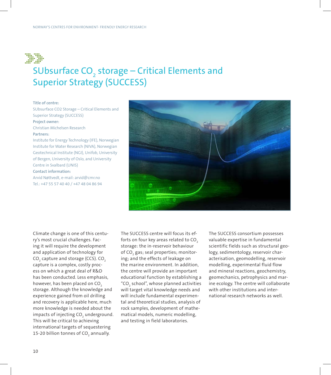

### SUbsurface  $CO<sub>2</sub>$  storage – Critical Elements and Superior Strategy (SUCCESS)

#### **Title of centre:**

SUbsurface CO2 Storage – Critical Elements and Superior Strategy (SUCCESS) **Project owner:** Christian Michelsen Research **Partners:** Institute for Energy Technology (IFE), Norwegian Institute for Water Research (NIVA), Norwegian Geotechnical Institute (NGI), Unifob, University of Bergen, University of Oslo, and University Centre in Svalbard (UNIS) **Contact information:**

Arvid Nøttvedt, e-mail: arvid@cmr.no Tel.: +47 55 57 40 40 / +47 48 04 86 94



Climate change is one of this century's most crucial challenges. Facing it will require the development and application of technology for CO $_{_2}$  capture and storage (CCS). CO $_{_2}$ capture is a complex, costly process on which a great deal of R&D has been conducted. Less emphasis, however, has been placed on CO<sub>2</sub> storage. Although the knowledge and experience gained from oil drilling and recovery is applicable here, much more knowledge is needed about the impacts of injecting CO $_{_2}$  underground. This will be critical to achieving international targets of sequestering 15-20 billion tonnes of CO $_{\rm 2}$  annually.

The SUCCESS centre will focus its efforts on four key areas related to CO<sub>2</sub> storage: the in-reservoir behaviour of CO<sub>2</sub> gas; seal properties; monitoring; and the effects of leakage on the marine environment. In addition, the centre will provide an important educational function by establishing a "CO $_{\tiny 2}$  school", whose planned activities will target vital knowledge needs and will include fundamental experimental and theoretical studies, analysis of rock samples, development of mathematical models, numeric modelling, and testing in field laboratories.

The SUCCESS consortium possesses valuable expertise in fundamental scientific fields such as structural geology, sedimentology, reservoir characterisation, geomodelling, reservoir modelling, experimental fluid flow and mineral reactions, geochemistry, geomechanics, petrophysics and marine ecology. The centre will collaborate with other institutions and international research networks as well.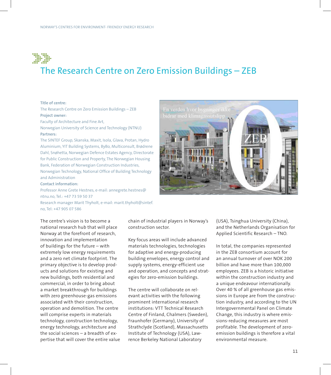### The Research Centre on Zero Emission Buildings – ZEB

#### **Title of centre:**

The Research Centre on Zero Emission Buildings – ZEB **Project owner:**

Faculty of Architecture and Fine Art,

Norwegian University of Science and Technology (NTNU) **Partners:**

The SINTEF Group, Skanska, Maxit, Isola, Glava, Protan, Hydro Aluminium, YIT Building Systems, ByBo, Multiconsult, Brødrene Dahl, Snøhetta, Norwegian Defence Estates Agency, Directorate for Public Construction and Property, The Norwegian Housing Bank, Federation of Norwegian Construction Industries, Norwegian Technology, National Office of Building Technology and Administration

#### **Contact information:**

Professor Anne Grete Hestnes, e-mail: annegrete.hestnes@ ntnu.no, Tel.: +47 73 59 50 37 Research manager Marit Thyholt, e-mail: marit.thyholt@sintef. no, Tel: +47 905 07 586



The centre's vision is to become a national research hub that will place Norway at the forefront of research, innovation and implementation of buildings for the future – with extremely low energy requirements and a zero net climate footprint. The primary objective is to develop products and solutions for existing and new buildings, both residential and commercial, in order to bring about a market breakthrough for buildings with zero greenhouse-gas emissions associated with their construction, operation and demolition. The centre will comprise experts in materials technology, construction technology, energy technology, architecture and the social sciences – a breadth of expertise that will cover the entire value chain of industrial players in Norway's construction sector.

Key focus areas will include advanced materials technologies, technologies for adaptive and energy-producing building envelopes, energy control and supply systems, energy-efficient use and operation, and concepts and strategies for zero-emission buildings.

The centre will collaborate on relevant activities with the following prominent international research institutions: VTT Technical Research Centre of Finland, Chalmers (Sweden), Fraunhofer (Germany), University of Strathclyde (Scotland), Massachusetts Institute of Technology (USA), Lawrence Berkeley National Laboratory

(USA), Tsinghua University (China), and the Netherlands Organisation for Applied Scientific Research – TNO.

In total, the companies represented in the ZEB consortium account for an annual turnover of over NOK 200 billion and have more than 100,000 employees. ZEB is a historic initiative within the construction industry and a unique endeavour internationally. Over 40 % of all greenhouse gas emissions in Europe are from the construction industry, and according to the UN Intergovernmental Panel on Climate Change, this industry is where emissions-reducing measures are most profitable. The development of zeroemission buildings is therefore a vital environmental measure.